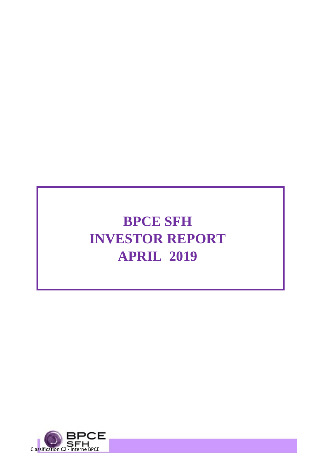# **BPCE SFH INVESTOR REPORT APRIL 2019**

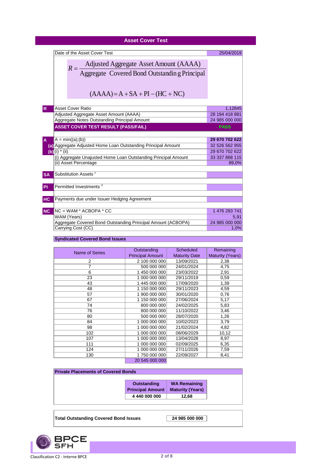| <b>Asset Cover Test</b>                                                                           |                                  |
|---------------------------------------------------------------------------------------------------|----------------------------------|
| Date of the Asset Cover Test                                                                      | 25/04/2019                       |
|                                                                                                   |                                  |
| Adjusted Aggregate Asset Amount (AAAA)<br>Aggregate Covered Bond Outstanding Principal<br>$R = -$ |                                  |
|                                                                                                   |                                  |
|                                                                                                   |                                  |
| $(AAAA) = A + SA + PI - (HC + NC)$                                                                |                                  |
| <b>Asset Cover Ratio</b><br>$\mathsf{R}$                                                          | 1,12845                          |
| Adjusted Aggregate Asset Amount (AAAA)                                                            | 28 194 418 881                   |
| Aggregate Notes Outstanding Principal Amount                                                      | 24 985 000 000                   |
| <b>ASSET COVER TEST RESULT (PASS/FAIL)</b>                                                        | <b>PASS</b>                      |
|                                                                                                   |                                  |
| $A = min((a); (b))$                                                                               | 29 670 702 622<br>32 526 562 955 |
| (a) Aggregate Adjusted Home Loan Outstanding Principal Amount<br>(b) $(i) * (ii)$                 | 29 670 702 622                   |
| (i) Aggregate Unajusted Home Loan Outstanding Principal Amount                                    | 33 337 868 115                   |
| (ii) Asset Percentage                                                                             | 89,0%                            |
| Substitution Assets <sup>1</sup><br><b>SA</b>                                                     |                                  |
| Permitted Investments <sup>2</sup><br>PI                                                          |                                  |
| Payments due under Issuer Hedging Agreement<br><b>HC</b>                                          |                                  |
| $NC = WAM * ACBOPA * CC$<br><b>NC</b>                                                             | 1 476 283 741                    |
| WAM (Years)                                                                                       | 5,91                             |
| Aggregate Covered Bond Outstanding Principal Amount (ACBOPA)                                      | 24 985 000 000                   |
| Carrying Cost (CC)                                                                                | 1,0%                             |
| <b>Syndicated Covered Bond Issues</b>                                                             |                                  |

#### Name of Series **Outstanding** Principal Amount **Scheduled** Maturity Date<br>13/09/2021 **Remaining** Maturity (Years)<br>2,38 2 2 2 100 000 000 13/09/2021 2,38<br>7 500 000 000 24/01/2024 4,75 7 500 000 000 24/01/2024 4,75<br>6 1 450 000 000 23/03/2022 2,91 1 450 000 000 23 1 000 000 000 29/11/2019 0,59 1 43 1 445 000 000 17/09/2020 1,39 48 1150 000 000 29/11/2023 4,59<br>57 1 900 000 000 30/01/2020 0,76 1 900 000 000 67 1150 000 000 27/06/2024 5,17<br>
74 800 000 000 24/02/2025 5,83 74 800 000 000 24/02/2025<br>76 800 000 000 11/10/2022 76 800 000 000 11/10/2022 3,46<br>80 500 000 000 28/07/2020 1,26 500 000 000 84 1 000 000 000 10/02/2023 3,79<br>98 1 000 000 000 21/02/2024 4,82 1 000 000 000 21/02/2024 4,82 102 1000 000 000 08/06/2029 10,12<br>107 1000 000 000 13/04/2028 8,97 1 000 000 000 111 1000 000 000 02/09/2025 6,35<br>124 1 000 000 000 27/11/2026 7,59 124 1000 000 000 27/11/2026<br>130 1750 000 000 22/09/2027 1 750 000 000 22/09/2027 8,41 20 545 000 000

| <b>Private Placements of Covered Bonds</b> |                         |  |  |  |  |  |  |  |  |
|--------------------------------------------|-------------------------|--|--|--|--|--|--|--|--|
|                                            |                         |  |  |  |  |  |  |  |  |
| <b>Outstanding</b>                         | <b>WA Remaining</b>     |  |  |  |  |  |  |  |  |
| <b>Principal Amount</b>                    | <b>Maturity (Years)</b> |  |  |  |  |  |  |  |  |
| 4 440 000 000                              | 12.68                   |  |  |  |  |  |  |  |  |
|                                            |                         |  |  |  |  |  |  |  |  |

Total Outstanding Covered Bond Issues 24 985 000 000

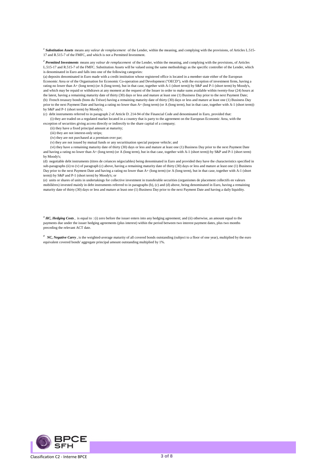*<sup>1</sup>Substitution Assets* means any *valeur de remplacement* of the Lender, within the meaning, and complying with the provisions, of Articles L.515- 17 and R.515-7 of the FMFC, and which is not a Permitted Investment.

*<sup>2</sup>Permitted Investments* means any *valeur de remplacement* of the Lender, within the meaning, and complying with the provisions, of Articles L.515-17 and R.515-7 of the FMFC. Substitution Assets will be valued using the same methodology as the specific controller of the Lender, which is denominated in Euro and falls into one of the following categories:

(a) deposits denominated in Euro made with a credit institution whose registered office is located in a member state either of the European Economic Area or of the Organisation for Economic Co-operation and Development ("OECD"), with the exception of investment firms, having a rating no lower than A+ (long term) (or A (long term), but in that case, together with A-1 (short term)) by S&P and P-1 (short term) by Moody's, and which may be repaid or withdrawn at any moment at the request of the Issuer in order to make sums available within twenty-four (24) hours at the latest, having a remaining maturity date of thirty (30) days or less and mature at least one (1) Business Day prior to the next Payment Date; (b) French treasury bonds (bons du Trésor) having a remaining maturity date of thirty (30) days or less and mature at least one (1) Business Day prior to the next Payment Date and having a rating no lower than A+ (long term) (or A (long term), but in that case, together with A-1 (short term)) by S&P and P-1 (short term) by Moody's;

(c) debt instruments referred to in paragraph 2 of Article D. 214-94 of the Financial Code and denominated in Euro, provided that:

 (i) they are traded on a regulated market located in a country that is party to the agreement on the European Economic Area, with the exception of securities giving access directly or indirectly to the share capital of a company;

(ii) they have a fixed principal amount at maturity;

(iii) they are not interest-only strips;

(iv) they are not purchased at a premium over par;

(v) they are not issued by mutual funds or any securitisation special purpose vehicle; and

 (vi) they have a remaining maturity date of thirty (30) days or less and mature at least one (1) Business Day prior to the next Payment Date and having a rating no lower than A+ (long term) (or A (long term), but in that case, together with A-1 (short term)) by S&P and P-1 (short term) by Moody's;

(d) negotiable debt instruments (titres de créances négociables) being denominated in Euro and provided they have the characteristics specified in sub-paragraphs (ii) to (v) of paragraph (c) above, having a remaining maturity date of thirty (30) days or less and mature at least one (1) Business Day prior to the next Payment Date and having a rating no lower than A+ (long term) (or A (long term), but in that case, together with A-1 (short term)) by S&P and P-1 (short term) by Moody's; or

(e) units or shares of units in undertakings for collective investment in transferable securities (organismes de placement collectifs en valeurs mobilières) invested mainly in debt instruments referred to in paragraphs (b), (c) and (d) above, being denominated in Euro, having a remaining maturity date of thirty (30) days or less and mature at least one (1) Business Day prior to the next Payment Date and having a daily liquidity.

*<sup>3</sup>HC, Hedging Costs*, is equal to : (i) zero before the issuer enters into any hedging agreement; and (ii) otherwise, an amount equal to the payments due under the issuer hedging agreements (plus interest) within the period between two interest payment dates, plus two months preceding the relevant ACT date.

*<sup>4</sup> NC, Negative Carry* , is the weighted-average maturity of all covered bonds outstanding (subject to a floor of one year), multiplied by the euro equivalent covered bonds' aggregate principal amount outstanding multiplied by 1%.

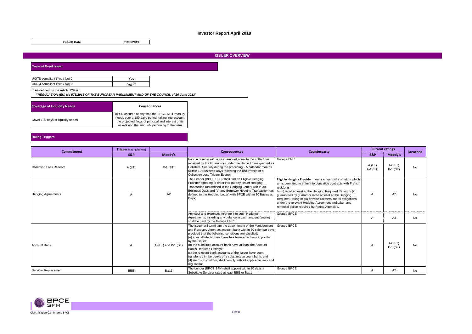# **Investor Report April 2019**

**Cut-off Date 31/03/2019**

#### **ISSUER OVERVIEW**

**Covered Bond Issuer**

| UCITS compliant (Yes / No) ? | Yes                |
|------------------------------|--------------------|
| CRR 4 compliant (Yes / No) ? | Yes <sup>(1)</sup> |

 $(1)$  As defined by the Article 129 in :

 *"REGULATION (EU) No 575/2013 OF THE EUROPEAN PARLIAMENT AND OF THE COUNCIL of 26 June 2013"*

| <b>Coverage of Liquidity Needs</b> | <b>Consequences</b>                                                                                                                                                                                          |
|------------------------------------|--------------------------------------------------------------------------------------------------------------------------------------------------------------------------------------------------------------|
| Cover 180 days of liquidity needs  | BPCE assures at any time the BPCE SFH treasury<br>needs over a 180 days period, taking into account<br>the projected flows of principal and interest of its<br>assets and the amounts pertaining to the term |

#### **Rating Triggers**

| <b>Commitment</b>         | <b>Trigger</b> (rating below) |                     | <b>Consequences</b>                                                                                                                                                                                                                                                                                                                                                                                                                                                                                                                                                               | Counterparty                                                                                                                                                                                                                                                                                                                                                                                                                                       | <b>Current ratings</b> |                     | <b>Breached</b> |
|---------------------------|-------------------------------|---------------------|-----------------------------------------------------------------------------------------------------------------------------------------------------------------------------------------------------------------------------------------------------------------------------------------------------------------------------------------------------------------------------------------------------------------------------------------------------------------------------------------------------------------------------------------------------------------------------------|----------------------------------------------------------------------------------------------------------------------------------------------------------------------------------------------------------------------------------------------------------------------------------------------------------------------------------------------------------------------------------------------------------------------------------------------------|------------------------|---------------------|-----------------|
|                           | S&P                           | Moody's             |                                                                                                                                                                                                                                                                                                                                                                                                                                                                                                                                                                                   |                                                                                                                                                                                                                                                                                                                                                                                                                                                    | S&P                    | Moody's             |                 |
| Collection Loss Reserve   | A(LT)                         | $P-1$ (ST)          | Fund a reserve with a cash amount equal to the collections<br>received by the Guarantors under the Home Loans granted as<br>Collateral Security during the preceding 2.5 calendar months<br>(within 10 Business Days following the occurrence of a<br>Collection Loss Trigger Event).                                                                                                                                                                                                                                                                                             | Groupe BPCE                                                                                                                                                                                                                                                                                                                                                                                                                                        | A(LT)<br>A-1 (ST)      | A2 (LT)<br>P-1 (ST) | <b>No</b>       |
| <b>Hedging Agreements</b> |                               | A2                  | The Lender (BPCE SFH) shall find an Eligible Hedging<br>Provider agreeing to enter into (a) any Issuer Hedging<br>Transaction (as defined in the Hedging Letter) with in 30<br>Business Days and (b) any Borrower Hedging Transaction (as<br>defined in the Hedging Letter) with BPCE with in 30 Business<br>Days.                                                                                                                                                                                                                                                                | Eligible Hedging Provider means a financial institution which:<br>a - is permitted to enter into derivative contracts with French<br>residents:<br>b - (i) rated at least at the Hedging Required Rating or (ii)<br>quaranteed by quarantor rated at least at the Hedging<br>Required Rating or (iii) provide collateral for its obligations<br>under the relevant Hedging Agreement and taken any<br>remedial action required by Rating Agencies. | $\mathsf{A}$           | A2                  | No              |
|                           |                               |                     | Any cost and expenses to enter into such Hedging<br>Agreements, including any balance in cash amount (soulte)<br>shall be paid by the Groupe BPCE                                                                                                                                                                                                                                                                                                                                                                                                                                 | Groupe BPCE                                                                                                                                                                                                                                                                                                                                                                                                                                        |                        | A2                  | N <sub>o</sub>  |
| <b>Account Bank</b>       |                               | A2(LT) and P-1 (ST) | The Issuer will terminate the appointment of the Management<br>and Recovery Agent as account bank with in 60 calendar days,<br>provided that the following conditions are satisfied:<br>(a) a substitute account bank has been effectively appointed<br>by the Issuer:<br>(b) the substitute account bank have at least the Account<br><b>Banks Required Ratings:</b><br>(c) the relevant bank accounts of the Issuer have been<br>transferred in the books of a substitute account bank: and<br>(d) such substitutions shall comply with all applicable laws and<br>regulations. | Groupe BPCE                                                                                                                                                                                                                                                                                                                                                                                                                                        | A                      | A2 (LT)<br>P-1 (ST) | <b>No</b>       |
| Servicer Replacement      | <b>BBB</b>                    | Baa2                | The Lender (BPCE SFH) shall appoint within 30 days a<br>Substitute Servicer rated at least BBB or Baa1                                                                                                                                                                                                                                                                                                                                                                                                                                                                            | <b>Groupe BPCE</b>                                                                                                                                                                                                                                                                                                                                                                                                                                 |                        | A2                  | No              |

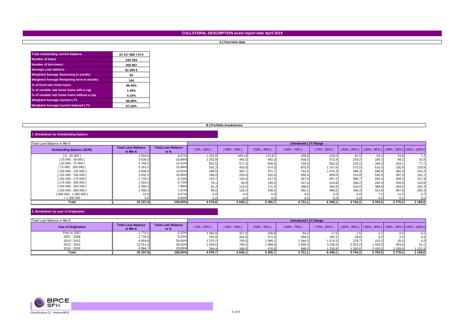# **COLLATERAL DESCRIPTION asset report date April 2019**

#### **A ] Overview data**

| <b>Total outstanding current balance</b>    | 33 337 868 115 € |
|---------------------------------------------|------------------|
| <b>Number of loans</b>                      | 535 383          |
| <b>Number of borrowers</b>                  | 459 887          |
| <b>Average Loan balance</b>                 | 62 269€          |
| <b>Weighted Average Seasoning in months</b> | 65               |
| Weighted Average Remaining term in months   | 164              |
| % of fixed rate home loans                  | 98.40%           |
| % of variable rate home loans with a cap    | 1.45%            |
| % of variable rate home loans without a cap | 0,16%            |
| <b>Weighted Average Current LTV</b>         | 66.99%           |
| <b>Weighted Average Current Indexed LTV</b> | 67.32%           |

#### **B ] Portfolio breakdowns**

#### **1. Breakdown by Outstanding balance**

| Total Loan Balance in MIn €      |                                                |                                     | <b>Unindexed LTV Range</b> |           |                 |                 |             |        |                                                          |         |       |
|----------------------------------|------------------------------------------------|-------------------------------------|----------------------------|-----------|-----------------|-----------------|-------------|--------|----------------------------------------------------------|---------|-------|
| <b>Outstanding Balance (EUR)</b> | <b>Total Loan Balance</b><br>In Min $\epsilon$ | <b>Total Loan Balance</b><br>In $%$ | [0% : 40%]                 | 40% : 50% | $ 50\% : 60\% $ | $ 60\% : 70\% $ | 70% ; 80% ] |        | 80% ; 85% ]     85% ; 90% ]     90% ; 95% ]   95% ; 100% |         |       |
| 10:250001                        | 2 0 2 4 , 9                                    | 6,07%                               | 101,9                      | 169,19    | 172.87          | 198.9           | 219.0       | 81.5   | 50.4                                                     | 23.8    | 7,3   |
| 25 000 ; 50 000 ]                | 3 630,0                                        | 10,89%                              | 1 252,9                    | 465,5     | 442.3           | 458,0           | 472,9       | 226,2  | 184,3                                                    | 94,2    | 33,9  |
| 150 000 : 75 000 1               | 4 7 69,1                                       | 14,31%                              | 857,5                      | 577,4     | 666,6           | 759,5           | 852,0       | 425,2  | 349,3                                                    | 204,1   | 77,7  |
| 75 000 ; 100 000 ]               | 5 161.1                                        | 15,48%                              | 501,2                      | 453,6     | 674.0           | 875,9           | 1 107.6     | 575,0  | 516,5                                                    | 330.6   | 126,8 |
| 100 000 ; 125 000 ]              | 4 608,4                                        | 13,82%                              | 299,5                      | 302,7     | 471.7           | 743,4           | 1 075,3     | 588,3  | 590,8                                                    | 382,4   | 154,3 |
| 125 000 ; 150 000 ]              | 3 632,2                                        | 10,90%                              | 186,6                      | 203,0     | 322,0           | 500,4           | 809,0       | 515,9  | 536,9                                                    | 397,4   | 161,1 |
| 150 000: 175 000 1               | 2 7 2 9 , 2                                    | 8,19%                               | 119,7                      | 132,8     | 217.4           | 357,4           | 567,2       | 386,7  | 432,4                                                    | 358,3   | 157,4 |
| 175 000 ; 200 000 ]              | 1910,1                                         | 5,73%                               | 78,1                       | 94,9      | 149.3           | 237,6           | 414.8       | 266,2  | 293,4                                                    | 256,9   | 118,9 |
| 200 000 : 250 000                | 2 3 6 0, 2                                     | 7,08%                               | 91,3                       | 119,0     | 171.4           | 288,0           | 462,9       | 333,0  | 388,8                                                    | 343,6   | 162,3 |
| 1250 000 : 500 000 1             | 2 490,2                                        | 7,47%                               | 90,0                       | 128,2     | 208,3           | 302,1           | 468.5       | 346.3  | 413,6                                                    | 367.6   | 165,4 |
| 1500 000; 1 000 000 1            | 22.5                                           | 0,07%                               | 0.0                        |           | 0.0             | 0,0             |             | 0.0    | 7,2                                                      | 11.5    | 3,7   |
| > 1000000                        |                                                | 0,00%                               |                            |           |                 | 0.0             |             |        | 0.0                                                      |         |       |
| Total                            | 33 337,9                                       | 100,00%                             | 4578.8                     | 2 646,1   | 3 495.7         | 4 7 2 1 . 1     | 6 4 4 9 . 1 | 3744.3 | 3 763.5 l                                                | 2 770.4 | 168,8 |

# **2. Breakdown by year of Origination**

| Total Loan Balance in MIn € |                                                | <b>Unindexed LTV Range</b>          |             |                 |                 |                 |             |                                                            |         |             |                  |
|-----------------------------|------------------------------------------------|-------------------------------------|-------------|-----------------|-----------------|-----------------|-------------|------------------------------------------------------------|---------|-------------|------------------|
| <b>Year of Origination</b>  | <b>Total Loan Balance</b><br>In Min $\epsilon$ | <b>Total Loan Balance</b><br>In $%$ | [0% : 40%]  | $ 40\% : 50\% $ | $ 50\% : 60\% $ | $ 60\% : 70\% $ | 70% ; 80% ] | 80% ; 85% ]     85% ; 90% ]     90% ; 95% ]   95% ; 100% ] |         |             |                  |
| Prior to 2007               | 774.1                                          | 5,32%                               | '083,9      | 327,8           | 258,8           | 84,2            |             |                                                            |         | 0,0         | 0.2 <sub>1</sub> |
| 2007 - 2009                 | 2 732.9                                        | 8,20%                               | 795,8       | 442,8           | 571.6           | 594,3           | 290.1       | 29.6                                                       |         | 2,0         | 0.41             |
| 2010 - 2012                 | 6 8 5 4 , 8                                    | 20,56%                              | 270,2       | 756,9           | 1099.1          | 1 544.3         | 1674.3      | 379.7                                                      | 101.2   | 25,0        | 4.31             |
| 2013 - 2015                 | 12 011.4                                       | 36,03%                              | 1 0 3 4 , 5 | 769,5           | 089,4           | 1830,4          | 3 2 3 6 , 5 | 2 051,0                                                    | 1555,5  | 403,6       |                  |
| 2016 - 2019                 | 9 9 64.7                                       | 29,89%                              | 394,4       | 349,0           | 476.8           | 668,0           | 1 230,8     | 1 282,6                                                    | 2 100,5 | 2 3 3 9 , 8 | 1 122,9          |
| Total                       | 33 337.9                                       | 100,00%                             | 4578,7      | 2646,1          | 3 4 9 5.7       | 4721.1          | 6 449.1     | 3744,3                                                     | 3763,5  | 2 770.4     | 1 168,8          |

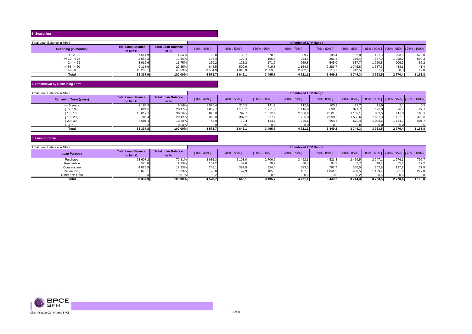# **3. Seasoning**

| Total Loan Balance in Mln € |                                         | <b>Unindexed LTV Range</b>          |           |            |                |                |             |                                             |         |         |         |
|-----------------------------|-----------------------------------------|-------------------------------------|-----------|------------|----------------|----------------|-------------|---------------------------------------------|---------|---------|---------|
| Seaoning (in months)        | Total Loan Balance<br>In Min $\epsilon$ | <b>Total Loan Balance</b><br>In $%$ | [0% : 40% | 40%: 50% 1 | $150\% : 60\%$ | $ 60\% : 70\%$ | 70% ; 80% ] | 80%; 85%    85%; 90%   90%; 95%   95%; 100% |         |         |         |
| < 12                        | 514.9                                   | 4,54%                               | 58,8      | 55,7       | 78,6           | 89,7           | 135.4       | 102,0                                       | 181,3   | 293,5   | 520,0   |
| $>= 12 - 24$                | 3 555,3                                 | 10,66%                              | 136,4     | 120,4      | 166,5          | 224,5          | 366,3       | 346,4                                       | 667,0   | 1018,7  | 509,3   |
| $>= 24 - 36$                | 3916,6                                  | 11,75%                              | 150,2     | 128,2      | 171,9          | 269,8          | 545.0       | 637.7                                       | 1020.8  | 906,9   | 86,2    |
| $>=36 - 60$                 | 9118,0                                  | 27,35%                              | 648,5     | 500,9      | 719,8          | 1154,6         | 2 2 86,7    | 1745.8                                      | 1 537,3 | 483,1   | 41,4    |
| $>= 60$                     | 15 233,1                                | 45,69%                              | 3584,9    | 1840,9     | 2 3 5 9 , 0    | 2 982,6        | 3 115,7     | 912,5                                       | 357,2   | 68,3    | 12,0    |
| Total                       | 33 337,9                                | 100,00%                             | 4578.7    | 2646,1     | 3 4 9 5 , 7    | 4721,1         | 6 449,2     | 3744,3                                      | 3763,5  | 2 770.4 | 1 168,8 |

#### **4. Breakdown by Remaining Term**

| Total Loan Balance in MIn €  |                                         |                                     | <b>Unindexed LTV Range</b> |             |                 |                 |             |                                                            |         |         |         |
|------------------------------|-----------------------------------------|-------------------------------------|----------------------------|-------------|-----------------|-----------------|-------------|------------------------------------------------------------|---------|---------|---------|
| <b>Remaning Term (years)</b> | Total Loan Balance<br>In Min $\epsilon$ | <b>Total Loan Balance</b><br>In $%$ | $[0\% : 40\%]$             | 40% ; 50% ] | $ 50\% : 60\% $ | $ 60\% : 70\% $ | 70% ; 80% ] | 80% : 85%       85% : 90%       90% : 95%       95% : 100% |         |         |         |
| $\leq$ 5 years               | 2 185,8                                 | 6,56%                               | 1575,4                     | 210,5       | 141.2           | 112,6           | 103,9       | 27.7                                                       | 11,9    |         | 0.5     |
| 5;10]                        | 6824,6                                  | 20,47%                              | '832,7                     | 1 178,2     | 1221.0          | 1116,9          | 839.5       | 321.7                                                      | 196,3   | 90,7    | 27,7    |
| $10:15$ ]                    | 10 019,7                                | 30,06%                              | 826,8                      | 797,7       | 322,4           | 2 000,2         | 2 501,6     | 132.1                                                      | 862,5   | 411.3   | 165,    |
| 15:201                       | 9 706,4                                 | 29,12%                              | 300,0                      | 387,2       | 667,1           | 1 205,8         | 2 3 9 9 , 6 | 583,6                                                      | 1 687,3 | 1102,1  | 373,8   |
| 20;30]                       | 4 601,4                                 | 13,80%                              | 44,0                       | 72,4        | 144.1           | 285,6           | 604.5       | 679.4                                                      | 1 005,6 | 1164.1  | 601.    |
| 30:                          |                                         | 0,00%                               | 0.0                        |             |                 | n.ni            | 0.0         |                                                            | 0.0     | 0,0     | 0.01    |
| Total                        | 33 337,8                                | 100.00%                             | 4 578,7                    | 2 646,1     | 3 495,7         | 4721,1          | 6449.2      | 3 744.3                                                    | 3 763,5 | 2 770.4 | 1 168,8 |

#### **5. Loan Purpose**

| Total Loan Balance in MIn € |                                                |                                     | <b>Unindexed LTV Range</b> |           |                 |             |             |                                                                      |         |        |       |  |
|-----------------------------|------------------------------------------------|-------------------------------------|----------------------------|-----------|-----------------|-------------|-------------|----------------------------------------------------------------------|---------|--------|-------|--|
| <b>Loan Purpose</b>         | <b>Total Loan Balance</b><br>In Min $\epsilon$ | <b>Total Loan Balance</b><br>In $%$ | [0% : 40%]                 | 40% ; 50% | $ 50\% : 60\% $ | 60% ; 70% ] | 70% ; 80% ] | $\vert$   80% ; 85% ]     85% ; 90% ]     90% ; 95% ]   95% ; 100% ] |         |        |       |  |
| Purchase                    | 23 607,2                                       | 70,81%                              | 3635,3                     | 2 103,0   | 2 706,2         | 3492,1      | 4 521.3     | 2 4 2 9.5                                                            | 2247.1  | 676.1  | 796,7 |  |
| Renovation                  | 575,8                                          | 1,73%                               | 101,2                      | 57,6      | 78,9            | 88,6        | 94,3        | 53,7                                                                 | 48,7    | 35,6   | 17,2  |  |
| Construction                | 4 0 76,5                                       | 12,23%                              | 746.1                      | 387,5     | 524.4           | 683,0       | 791.7       | 360.5                                                                | 307.8   | 197.7  | 77,8  |  |
| Refinancing                 | 5 076,1                                        | 15,23%                              | 96,                        | 97.9      | 185,8           | 457,3       | 1 041.3     | 900,5                                                                | 159.4   | 861.0  | 277,0 |  |
| Other / No Data             |                                                | 0.01%                               |                            | 0.1       |                 | 0,2         | 0.5         | 0.2                                                                  | 0,6     | 0.0    | 0, 0  |  |
| Tota                        | 33 337,9                                       | 100.00%                             | 4 578,7                    | 2 646,1   | 3 4 9 5, 7      | 4 721.11    | 6 4 4 9 , 2 | 3744.3                                                               | 3 763.5 | 2770,4 | 168,8 |  |

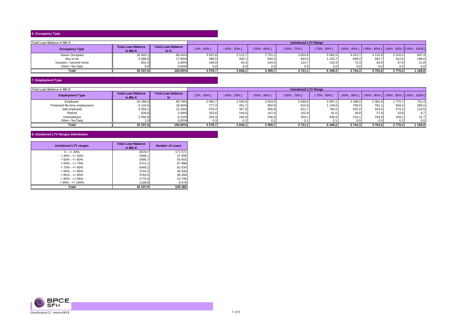# **6. Occupancy Type**

| Total Loan Balance in MIn € |                                                |                                     | <b>Unindexed LTV Range</b> |           |             |                 |             |                                                            |         |         |          |  |
|-----------------------------|------------------------------------------------|-------------------------------------|----------------------------|-----------|-------------|-----------------|-------------|------------------------------------------------------------|---------|---------|----------|--|
| <b>Occupancy Type</b>       | <b>Total Loan Balance</b><br>In Min $\epsilon$ | <b>Total Loan Balance</b><br>In $%$ | [0% : 40%                  | 40% ; 50% | 50% ; 60%   | $ 60\% : 70\% $ | 70% ; 80% ] | 80% ; 85% ]     85% ; 90% ]     90% ; 95% ]   95% ; 100% ] |         |         |          |  |
| Owner Occupied              | 26 820,1                                       | 80,45%                              | 3822,8                     | 2 1 1 2.7 | 2751.2      | 3 6 5 4 8       | 5 082.6     | 3 0 2 2.7                                                  | 3 115,9 | 2 310,0 | 947,4    |  |
| Buy to let                  | 5686,8                                         | 17,06%                              | 586,0                      | 440,1     | 640.0       | 943,6           | 1 233.7     | 648,4                                                      | 582.7   | 412.6   | 199,61   |  |
| Vacation / second home      | 831.0                                          | 2,49%                               | 169,9                      | 93,4      | 104.5       | 122,7           | 132,9       | 73,3                                                       | 64,9    | 47.8    | 21,8     |  |
| Other / No Data             |                                                | 0,00%                               |                            |           |             |                 |             | 0.0                                                        | 0, 0    | 0,0     | 0,0      |  |
| Total                       | 33 337,9                                       | 100,00%                             | 4578,7                     | 2 646,1   | 3 4 9 5 , 7 | 4 721,1         | 6 449.2 l   | 3744,3                                                     | 3763,51 | 2 770.4 | 1 1 68,8 |  |

# **7. Employment Type**

| Total Loan Balance in MIn €<br><b>Unindexed LTV Range</b> |                                                |                           |            |           |                 |                 |                 |                                                        |             |         |          |
|-----------------------------------------------------------|------------------------------------------------|---------------------------|------------|-----------|-----------------|-----------------|-----------------|--------------------------------------------------------|-------------|---------|----------|
| <b>Employment Type</b>                                    | <b>Total Loan Balance</b><br>In Min $\epsilon$ | <b>Total Loan Balance</b> | [0% : 40%] | 40% ; 50% | $ 50\% : 60\% $ | $ 60\% : 70\% $ | $ 70\% : 80\% $ | 80%; 85% ]     85%; 90% ]     90%; 95% ]   95%; 100% ] |             |         |          |
| Employed                                                  | 20 266,6                                       | 60,79%                    | 2592,7     | 1 535,6   | 2 053,5         | 2 830,6         | 3 997,1         | 2 3 4 8 .0                                             | 2 3 8 1 , 9 | 775.7   | 751,4    |
| Protected life-time employment                            | 6 133,6                                        | 18,40%                    | 777,3      | 451,7     | 602,9           | 810,8           | 139,6           | 709,5                                                  | 781.1       | 594,2   | 266,5    |
| Self employed                                             | 4 059,1                                        | 12,18%                    | 578,4      | 367,8     | 485,8           | 621,7           | 784,5           | 432,0                                                  | 403,0       | 275,4   | 110,5    |
| Retired                                                   | 826.8                                          | 2,48%                     | 325,8      | 104,9     | 107.4           | 102,8           | 91.0            | 38,8                                                   | 27.6        | 19,8    | 8,7      |
| Unemployed                                                | 2 050,8                                        | 6,15%                     | 304,3      | 185,9     | 246,0           | 355.            | 436,8           | 216.                                                   | 169,9       | 105,1   | 31,7     |
| Other / No Data                                           |                                                | 0,00%                     |            |           |                 |                 |                 |                                                        | 0,0         | 0,2     | 0,0      |
| Total                                                     | 33 337.9                                       | 100.00%                   | 4578.7     | 2 646.1   | 3 495.7         | 4721.1          | 6449.2          | 3 744.3                                                | 3 763.5 l   | 2 770.4 | 1 1 68.8 |

### **8. Unindexed LTV Ranges Distribution**

| <b>Unindexed LTV ranges</b> | <b>Total Loan Balance</b><br>in Min $\epsilon$ | <b>Number of Loans</b> |  |
|-----------------------------|------------------------------------------------|------------------------|--|
| $0 - 5 = 40\%$              | 4578,7                                         | 171 571                |  |
| $> 40\% - \leq 50\%$        | 2646,1                                         | 47 656                 |  |
| $> 50\% - \le 60\%$         | 3495,7                                         | 55 603                 |  |
| $>60\% - \le 70\%$          | 4721,1                                         | 67899                  |  |
| $> 70\% - \leq 80\%$        | 6449.2                                         | 82 034                 |  |
| $> 80\% - \leq 85\%$        | 3744,3                                         | 40 934                 |  |
| $> 85\% - \leq 90\%$        | 3763,5                                         | 36 459                 |  |
| $> 90\% - \le 95\%$         | 2770,4                                         | 23 749                 |  |
| $> 95\% - \le 100\%$        | 1168,8                                         | 9478                   |  |
| Total                       | 33 337,9                                       | 535 383                |  |